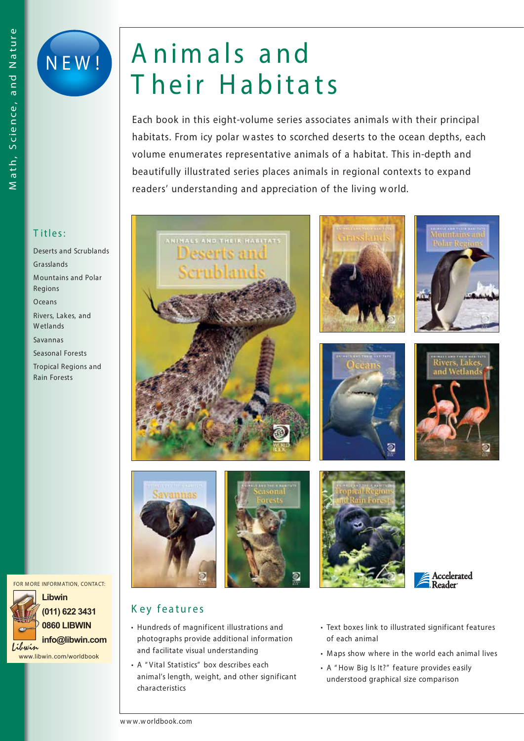



## A nim a ls a nd Their Habitats

**Each book in this eight-volume series associates animals w ith their principal habitats. From icy polar w astes to scorched deserts to the ocean depths, each volume enumerates representative animals of a habitat. This in-depth and beautifully illustrated series places animals in regional contexts to expand readers' understanding and appreciation of the living w orld.**



*Deserts and Scrublands Grasslands M ountains and Polar Regions Oceans Rivers, Lakes, and Wetlands Savannas Seasonal Forests Tropical Regions and Rain Forests*

**FOR M ORE INFORM ATION, CONTACT:**



**0860 LIBWIN** *islavin* info@libwin.com

www.libwin.com/worldbook



















## K ey features

- Hundreds of magnificent illustrations and photographs provide additional information and facilitate visual understanding
- A " Vital Statistics" box describes each animal's length, weight, and other significant characteristics
- Text boxes link to illustrated significant features of each animal
- Maps show where in the world each animal lives
- A " How Big Is It?" feature provides easily understood graphical size comparison